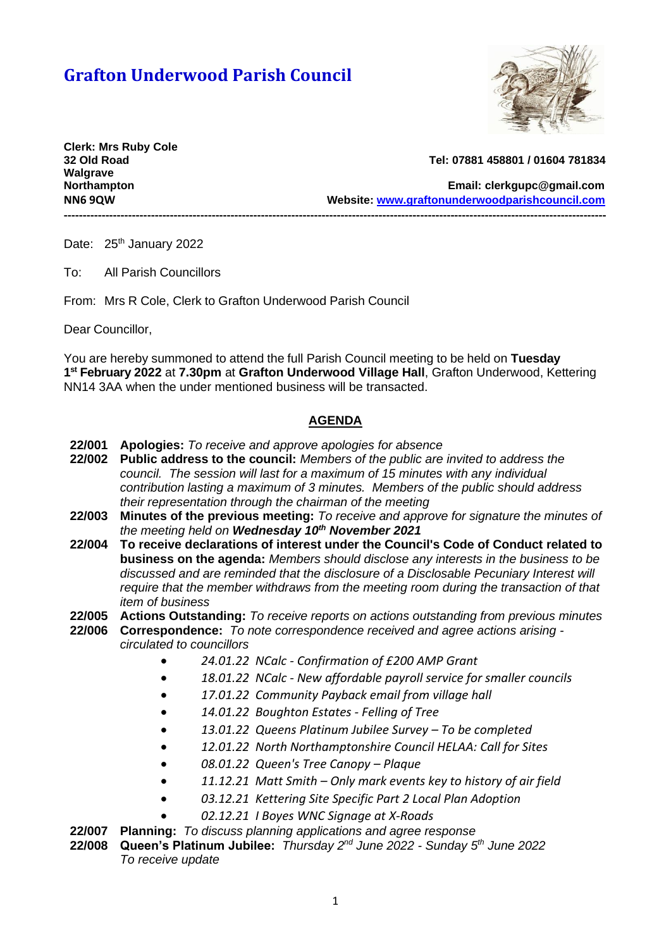# **Grafton Underwood Parish Council**



**Clerk: Mrs Ruby Cole Walgrave** 

# **32 Old Road Tel: 07881 458801 / 01604 781834**

**Northampton Email: [clerkgupc@gmail.com](mailto:clerkgupc@gmail.com) NN6 9QW Website: [www.graftonunderwoodparishcouncil.com](http://www.graftonunderwoodparishcouncil.com/)**

Date: 25<sup>th</sup> January 2022

To: All Parish Councillors

From: Mrs R Cole, Clerk to Grafton Underwood Parish Council

Dear Councillor,

You are hereby summoned to attend the full Parish Council meeting to be held on **Tuesday 1 st February 2022** at **7.30pm** at **Grafton Underwood Village Hall**, Grafton Underwood, Kettering NN14 3AA when the under mentioned business will be transacted.

**-----------------------------------------------------------------------------------------------------------------------------------------------**

# **AGENDA**

- **22/001 Apologies:** *To receive and approve apologies for absence*
- **22/002 Public address to the council:** *Members of the public are invited to address the council. The session will last for a maximum of 15 minutes with any individual contribution lasting a maximum of 3 minutes. Members of the public should address their representation through the chairman of the meeting*
- **22/003 Minutes of the previous meeting:** *To receive and approve for signature the minutes of the meeting held on Wednesday 10th November 2021*
- **22/004 To receive declarations of interest under the Council's Code of Conduct related to business on the agenda:** *Members should disclose any interests in the business to be discussed and are reminded that the disclosure of a Disclosable Pecuniary Interest will require that the member withdraws from the meeting room during the transaction of that item of business*
- **22/005 Actions Outstanding:** *To receive reports on actions outstanding from previous minutes*
- **22/006 Correspondence:** *To note correspondence received and agree actions arising circulated to councillors*
	- *24.01.22 NCalc - Confirmation of £200 AMP Grant*
	- *18.01.22 NCalc - New affordable payroll service for smaller councils*
	- *17.01.22 Community Payback email from village hall*
	- *14.01.22 Boughton Estates - Felling of Tree*
	- *13.01.22 Queens Platinum Jubilee Survey – To be completed*
	- *12.01.22 North Northamptonshire Council HELAA: Call for Sites*
	- *08.01.22 Queen's Tree Canopy – Plaque*
	- *11.12.21 Matt Smith – Only mark events key to history of air field*
	- *03.12.21 Kettering Site Specific Part 2 Local Plan Adoption*
	- *02.12.21 I Boyes WNC Signage at X-Roads*
- **22/007 Planning:** *To discuss planning applications and agree response*
- **22/008 Queen's Platinum Jubilee:** *Thursday 2nd June 2022 - Sunday 5th June 2022 To receive update*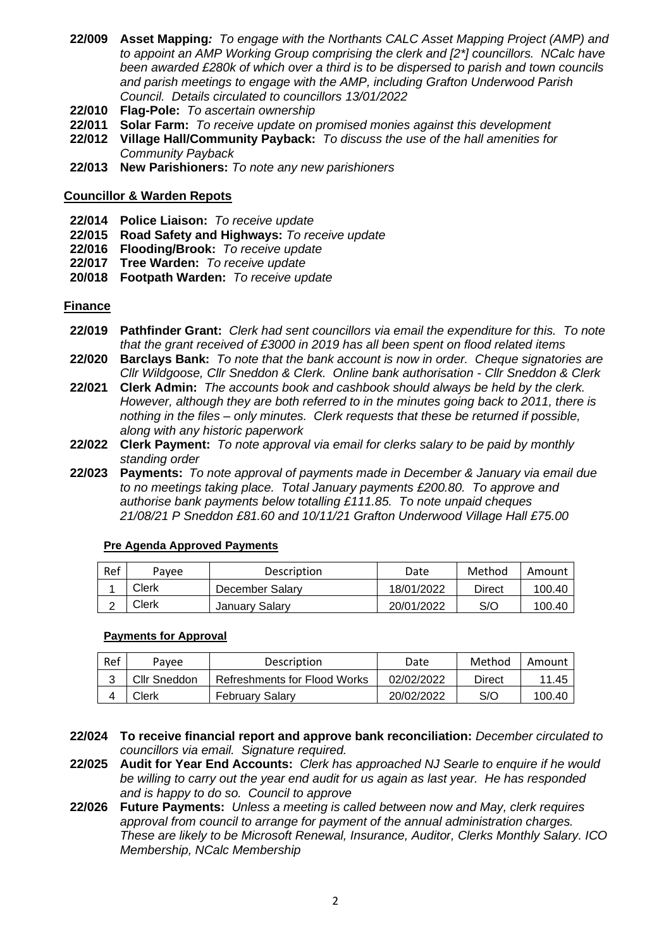- **22/009 Asset Mapping***: To engage with the Northants CALC Asset Mapping Project (AMP) and to appoint an AMP Working Group comprising the clerk and [2\*] councillors. NCalc have been awarded £280k of which over a third is to be dispersed to parish and town councils and parish meetings to engage with the AMP, including Grafton Underwood Parish Council. Details circulated to councillors 13/01/2022*
- **22/010 Flag-Pole:** *To ascertain ownership*
- **22/011 Solar Farm:** *To receive update on promised monies against this development*
- **22/012 Village Hall/Community Payback:** *To discuss the use of the hall amenities for Community Payback*
- **22/013 New Parishioners:** *To note any new parishioners*

## **Councillor & Warden Repots**

- **22/014 Police Liaison:** *To receive update*
- **22/015 Road Safety and Highways:** *To receive update*
- **22/016 Flooding/Brook:** *To receive update*
- **22/017 Tree Warden:** *To receive update*
- **20/018 Footpath Warden:** *To receive update*

## **Finance**

- **22/019 Pathfinder Grant:** *Clerk had sent councillors via email the expenditure for this. To note that the grant received of £3000 in 2019 has all been spent on flood related items*
- **22/020 Barclays Bank:** *To note that the bank account is now in order. Cheque signatories are Cllr Wildgoose, Cllr Sneddon & Clerk. Online bank authorisation - Cllr Sneddon & Clerk*
- **22/021 Clerk Admin:** *The accounts book and cashbook should always be held by the clerk. However, although they are both referred to in the minutes going back to 2011, there is nothing in the files – only minutes. Clerk requests that these be returned if possible, along with any historic paperwork*
- **22/022 Clerk Payment:** *To note approval via email for clerks salary to be paid by monthly standing order*
- **22/023 Payments:** *To note approval of payments made in December & January via email due to no meetings taking place. Total January payments £200.80. To approve and authorise bank payments below totalling £111.85. To note unpaid cheques 21/08/21 P Sneddon £81.60 and 10/11/21 Grafton Underwood Village Hall £75.00*

| Ref | Pavee | Description     | Date       | Method | Amount |
|-----|-------|-----------------|------------|--------|--------|
|     | Clerk | December Salary | 18/01/2022 | Direct | 100.40 |
|     | Clerk | January Salary  | 20/01/2022 | S/O    | 100.40 |

#### **Pre Agenda Approved Payments**

#### **Payments for Approval**

| Ref | Pavee        | Description                  | Date       | Method | Amount |
|-----|--------------|------------------------------|------------|--------|--------|
|     | Cllr Sneddon | Refreshments for Flood Works | 02/02/2022 | Direct | 11.45  |
|     | Clerk        | February Salary              | 20/02/2022 | S/O    | 100.40 |

- **22/024 To receive financial report and approve bank reconciliation:** *December circulated to councillors via email. Signature required.*
- **22/025 Audit for Year End Accounts:** *Clerk has approached NJ Searle to enquire if he would be willing to carry out the year end audit for us again as last year. He has responded and is happy to do so. Council to approve*
- **22/026 Future Payments:** *Unless a meeting is called between now and May, clerk requires approval from council to arrange for payment of the annual administration charges. These are likely to be Microsoft Renewal, Insurance, Auditor, Clerks Monthly Salary. ICO Membership, NCalc Membership*